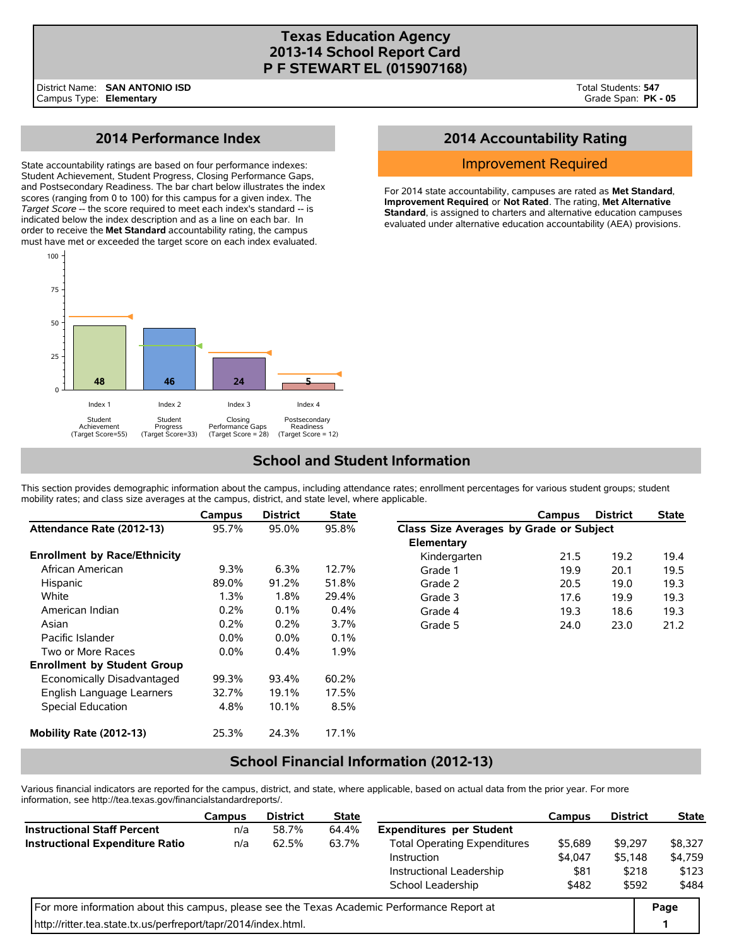## **Texas Education Agency 2013-14 School Report Card P F STEWART EL (015907168)**

# **2014 Performance Index**

State accountability ratings are based on four performance indexes: Student Achievement, Student Progress, Closing Performance Gaps, and Postsecondary Readiness. The bar chart below illustrates the index scores (ranging from 0 to 100) for this campus for a given index. The *Target Score* -- the score required to meet each index's standard -- is indicated below the index description and as a line on each bar. In order to receive the **Met Standard** accountability rating, the campus must have met or exceeded the target score on each index evaluated.



## **2014 Accountability Rating**

### Improvement Required

For 2014 state accountability, campuses are rated as **Met Standard**, **Improvement Required**, or **Not Rated**. The rating, **Met Alternative Standard**, is assigned to charters and alternative education campuses evaluated under alternative education accountability (AEA) provisions.

# **School and Student Information**

This section provides demographic information about the campus, including attendance rates; enrollment percentages for various student groups; student mobility rates; and class size averages at the campus, district, and state level, where applicable.

|                                     | Campus  | <b>District</b> | <b>State</b> |                                         | Campus | <b>District</b> | <b>State</b> |  |
|-------------------------------------|---------|-----------------|--------------|-----------------------------------------|--------|-----------------|--------------|--|
| Attendance Rate (2012-13)           | 95.7%   | 95.0%           | 95.8%        | Class Size Averages by Grade or Subject |        |                 |              |  |
|                                     |         |                 |              | Elementary                              |        |                 |              |  |
| <b>Enrollment by Race/Ethnicity</b> |         |                 |              | Kindergarten                            | 21.5   | 19.2            | 19.4         |  |
| African American                    | $9.3\%$ | 6.3%            | 12.7%        | Grade 1                                 | 19.9   | 20.1            | 19.5         |  |
| Hispanic                            | 89.0%   | 91.2%           | 51.8%        | Grade 2                                 | 20.5   | 19.0            | 19.3         |  |
| White                               | 1.3%    | 1.8%            | 29.4%        | Grade 3                                 | 17.6   | 19.9            | 19.3         |  |
| American Indian                     | 0.2%    | 0.1%            | 0.4%         | Grade 4                                 | 19.3   | 18.6            | 19.3         |  |
| Asian                               | 0.2%    | 0.2%            | $3.7\%$      | Grade 5                                 | 24.0   | 23.0            | 21.2         |  |
| Pacific Islander                    | $0.0\%$ | $0.0\%$         | $0.1\%$      |                                         |        |                 |              |  |
| Two or More Races                   | $0.0\%$ | 0.4%            | 1.9%         |                                         |        |                 |              |  |
| <b>Enrollment by Student Group</b>  |         |                 |              |                                         |        |                 |              |  |
| Economically Disadvantaged          | 99.3%   | 93.4%           | 60.2%        |                                         |        |                 |              |  |
| English Language Learners           | 32.7%   | 19.1%           | 17.5%        |                                         |        |                 |              |  |
| Special Education                   | 4.8%    | 10.1%           | 8.5%         |                                         |        |                 |              |  |
| Mobility Rate (2012-13)             | 25.3%   | 24.3%           | 17.1%        |                                         |        |                 |              |  |

## **School Financial Information (2012-13)**

Various financial indicators are reported for the campus, district, and state, where applicable, based on actual data from the prior year. For more information, see http://tea.texas.gov/financialstandardreports/.

|                                                                                             | Campus | <b>District</b> | <b>State</b>                        |                                 | Campus  | <b>District</b> | <b>State</b> |  |
|---------------------------------------------------------------------------------------------|--------|-----------------|-------------------------------------|---------------------------------|---------|-----------------|--------------|--|
| <b>Instructional Staff Percent</b>                                                          | n/a    | 58.7%           | 64.4%                               | <b>Expenditures per Student</b> |         |                 |              |  |
| <b>Instructional Expenditure Ratio</b><br>62.5%<br>63.7%<br>n/a<br>Instruction              |        |                 | <b>Total Operating Expenditures</b> | \$5,689                         | \$9.297 | \$8.327         |              |  |
|                                                                                             |        |                 | \$4,047                             | \$5.148                         | \$4,759 |                 |              |  |
|                                                                                             |        |                 |                                     | Instructional Leadership        | \$81    | \$218           | \$123        |  |
|                                                                                             |        |                 |                                     | School Leadership               | \$482   | \$592           | \$484        |  |
| For more information about this campus, please see the Texas Academic Performance Report at |        |                 |                                     |                                 |         |                 |              |  |
| http://ritter.tea.state.tx.us/perfreport/tapr/2014/index.html.                              |        |                 |                                     |                                 |         |                 |              |  |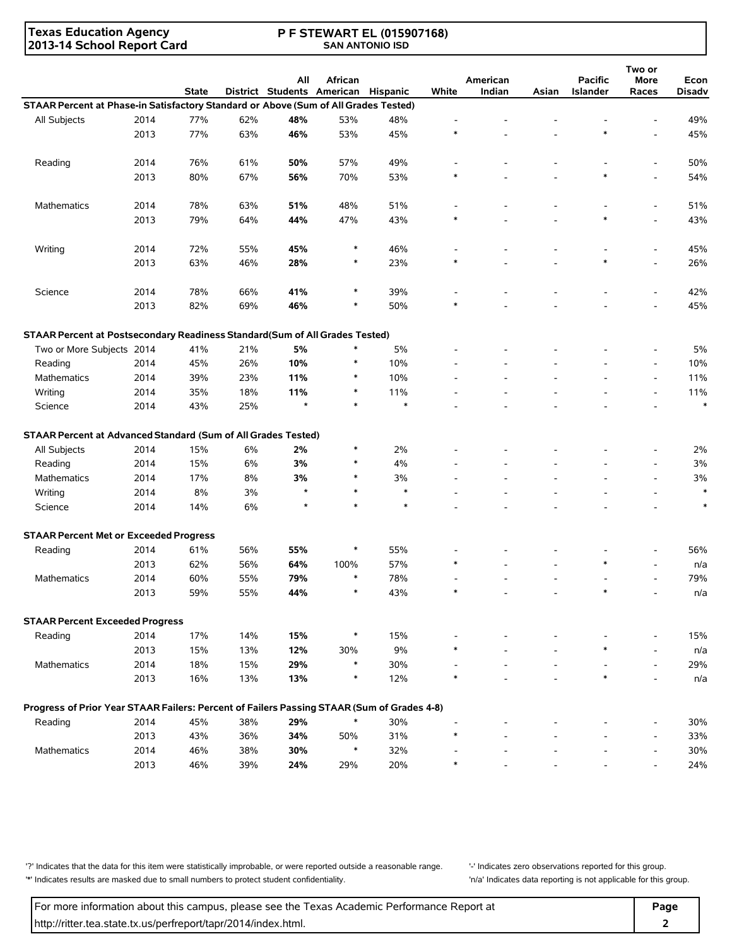**Texas Education Agency 2013-14 School Report Card**

#### **P F STEWART EL (015907168) SAN ANTONIO ISD**

|                                                                                            |      | <b>State</b> |     | All<br>District Students American | African | <b>Hispanic</b> | White  | American<br>Indian | Asian | <b>Pacific</b><br>Islander | Two or<br>More<br>Races  | Econ<br><b>Disadv</b> |
|--------------------------------------------------------------------------------------------|------|--------------|-----|-----------------------------------|---------|-----------------|--------|--------------------|-------|----------------------------|--------------------------|-----------------------|
| STAAR Percent at Phase-in Satisfactory Standard or Above (Sum of All Grades Tested)        |      |              |     |                                   |         |                 |        |                    |       |                            |                          |                       |
| All Subjects                                                                               | 2014 | 77%          | 62% | 48%                               | 53%     | 48%             |        |                    |       |                            |                          | 49%                   |
|                                                                                            | 2013 | 77%          | 63% | 46%                               | 53%     | 45%             |        |                    |       | $\ast$                     |                          | 45%                   |
|                                                                                            |      |              |     |                                   |         |                 |        |                    |       |                            |                          |                       |
| Reading                                                                                    | 2014 | 76%          | 61% | 50%                               | 57%     | 49%             |        |                    |       |                            |                          | 50%                   |
|                                                                                            | 2013 | 80%          | 67% | 56%                               | 70%     | 53%             |        |                    |       | $\ast$                     |                          | 54%                   |
| <b>Mathematics</b>                                                                         | 2014 | 78%          | 63% | 51%                               | 48%     | 51%             |        |                    |       |                            | $\overline{\phantom{a}}$ | 51%                   |
|                                                                                            | 2013 | 79%          | 64% | 44%                               | 47%     | 43%             |        |                    |       | $\ast$                     |                          | 43%                   |
| Writing                                                                                    | 2014 | 72%          | 55% | 45%                               | $\ast$  | 46%             |        |                    |       |                            |                          | 45%                   |
|                                                                                            | 2013 | 63%          | 46% | 28%                               | $\ast$  | 23%             | $\ast$ |                    |       | $\ast$                     |                          | 26%                   |
|                                                                                            |      |              |     |                                   |         |                 |        |                    |       |                            |                          |                       |
| Science                                                                                    | 2014 | 78%          | 66% | 41%                               | $\ast$  | 39%             |        |                    |       |                            |                          | 42%                   |
|                                                                                            | 2013 | 82%          | 69% | 46%                               | $\ast$  | 50%             | $\ast$ |                    |       |                            |                          | 45%                   |
| STAAR Percent at Postsecondary Readiness Standard(Sum of All Grades Tested)                |      |              |     |                                   |         |                 |        |                    |       |                            |                          |                       |
| Two or More Subjects 2014                                                                  |      | 41%          | 21% | 5%                                | $\ast$  | 5%              |        |                    |       |                            |                          | 5%                    |
| Reading                                                                                    | 2014 | 45%          | 26% | 10%                               | *       | 10%             |        |                    |       |                            | $\overline{a}$           | 10%                   |
| <b>Mathematics</b>                                                                         | 2014 | 39%          | 23% | 11%                               | $\ast$  | 10%             |        |                    |       |                            | $\overline{a}$           | 11%                   |
| Writing                                                                                    | 2014 | 35%          | 18% | 11%                               | $\ast$  | 11%             |        |                    |       |                            | $\overline{a}$           | 11%                   |
| Science                                                                                    | 2014 | 43%          | 25% | $\star$                           | $\ast$  | $\ast$          |        |                    |       |                            |                          | $\ast$                |
| STAAR Percent at Advanced Standard (Sum of All Grades Tested)                              |      |              |     |                                   |         |                 |        |                    |       |                            |                          |                       |
| All Subjects                                                                               | 2014 | 15%          | 6%  | 2%                                | $\ast$  | 2%              |        |                    |       |                            |                          | 2%                    |
| Reading                                                                                    | 2014 | 15%          | 6%  | 3%                                | *       | 4%              |        |                    |       |                            |                          | 3%                    |
| <b>Mathematics</b>                                                                         | 2014 | 17%          | 8%  | 3%                                | *       | 3%              |        |                    |       |                            | $\overline{a}$           | 3%                    |
| Writing                                                                                    | 2014 | 8%           | 3%  | $\star$                           | $\ast$  | $\ast$          |        |                    |       |                            | $\overline{a}$           | $\ast$                |
| Science                                                                                    | 2014 | 14%          | 6%  | $\star$                           | $\ast$  | $\ast$          |        |                    |       |                            |                          | $\ast$                |
| <b>STAAR Percent Met or Exceeded Progress</b>                                              |      |              |     |                                   |         |                 |        |                    |       |                            |                          |                       |
| Reading                                                                                    | 2014 | 61%          | 56% | 55%                               | $\ast$  | 55%             |        |                    |       |                            |                          | 56%                   |
|                                                                                            | 2013 | 62%          | 56% | 64%                               | 100%    | 57%             |        |                    |       | $\ast$                     |                          | n/a                   |
| <b>Mathematics</b>                                                                         | 2014 | 60%          | 55% | 79%                               | $\ast$  | 78%             |        |                    |       |                            |                          | 79%                   |
|                                                                                            | 2013 | 59%          | 55% | 44%                               | ∗       | 43%             | $\ast$ |                    |       | $\ast$                     |                          | n/a                   |
| <b>STAAR Percent Exceeded Progress</b>                                                     |      |              |     |                                   |         |                 |        |                    |       |                            |                          |                       |
| Reading                                                                                    | 2014 | 17%          | 14% | 15%                               | $\ast$  | 15%             |        |                    |       |                            |                          | 15%                   |
|                                                                                            | 2013 | 15%          | 13% | 12%                               | 30%     | 9%              |        |                    |       | $\ast$                     |                          | n/a                   |
|                                                                                            | 2014 | 18%          | 15% | 29%                               | $\ast$  | 30%             |        |                    |       |                            |                          | 29%                   |
| Mathematics                                                                                |      |              |     |                                   | $\ast$  |                 |        |                    |       | $\ast$                     |                          |                       |
|                                                                                            | 2013 | 16%          | 13% | 13%                               |         | 12%             |        |                    |       |                            |                          | n/a                   |
| Progress of Prior Year STAAR Failers: Percent of Failers Passing STAAR (Sum of Grades 4-8) |      |              |     |                                   |         |                 |        |                    |       |                            |                          |                       |
| Reading                                                                                    | 2014 | 45%          | 38% | 29%                               | $\ast$  | 30%             |        |                    |       |                            |                          | 30%                   |
|                                                                                            | 2013 | 43%          | 36% | 34%                               | 50%     | 31%             | ∗      |                    |       |                            |                          | 33%                   |
| Mathematics                                                                                | 2014 | 46%          | 38% | 30%                               | $\ast$  | 32%             |        |                    |       |                            |                          | 30%                   |
|                                                                                            | 2013 | 46%          | 39% | 24%                               | 29%     | 20%             | $\ast$ |                    |       |                            |                          | 24%                   |

'?' Indicates that the data for this item were statistically improbable, or were reported outside a reasonable range. '' Indicates zero observations reported for this group. '\*' Indicates results are masked due to small numbers to protect student confidentiality. 'n/a' Indicates data reporting is not applicable for this group.

For more information about this campus, please see the Texas Academic Performance Report at **Page Page** http://ritter.tea.state.tx.us/perfreport/tapr/2014/index.html. **2**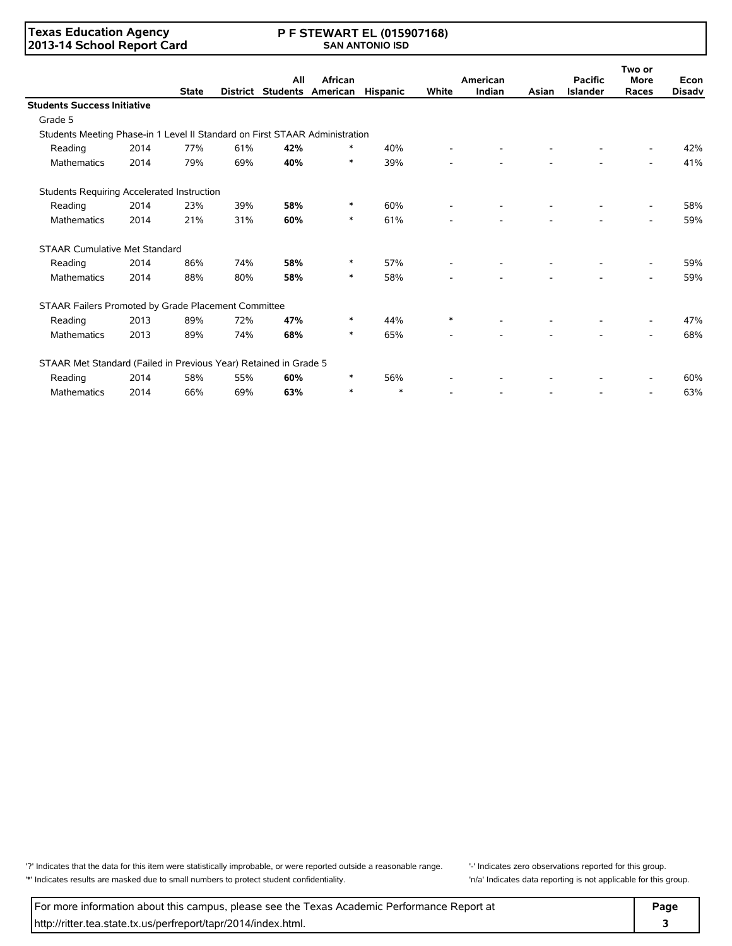### **Texas Education Agency 2013-14 School Report Card**

#### **P F STEWART EL (015907168) SAN ANTONIO ISD**

|                                                                             |      |              |                 | All | African                  |          |                          | American                 |       | <b>Pacific</b>  | Two or<br><b>More</b> | Econ          |
|-----------------------------------------------------------------------------|------|--------------|-----------------|-----|--------------------------|----------|--------------------------|--------------------------|-------|-----------------|-----------------------|---------------|
|                                                                             |      | <b>State</b> | <b>District</b> |     | <b>Students American</b> | Hispanic | White                    | Indian                   | Asian | <b>Islander</b> | Races                 | <b>Disadv</b> |
| <b>Students Success Initiative</b>                                          |      |              |                 |     |                          |          |                          |                          |       |                 |                       |               |
| Grade 5                                                                     |      |              |                 |     |                          |          |                          |                          |       |                 |                       |               |
| Students Meeting Phase-in 1 Level II Standard on First STAAR Administration |      |              |                 |     |                          |          |                          |                          |       |                 |                       |               |
| Reading                                                                     | 2014 | 77%          | 61%             | 42% | ∗                        | 40%      |                          | $\overline{\phantom{a}}$ |       |                 |                       | 42%           |
| <b>Mathematics</b>                                                          | 2014 | 79%          | 69%             | 40% | $\ast$                   | 39%      |                          |                          |       |                 |                       | 41%           |
| Students Requiring Accelerated Instruction                                  |      |              |                 |     |                          |          |                          |                          |       |                 |                       |               |
| Reading                                                                     | 2014 | 23%          | 39%             | 58% | $\ast$                   | 60%      |                          |                          |       |                 |                       | 58%           |
| <b>Mathematics</b>                                                          | 2014 | 21%          | 31%             | 60% | $\ast$                   | 61%      |                          |                          |       |                 |                       | 59%           |
| <b>STAAR Cumulative Met Standard</b>                                        |      |              |                 |     |                          |          |                          |                          |       |                 |                       |               |
| Reading                                                                     | 2014 | 86%          | 74%             | 58% | ∗                        | 57%      |                          | $\overline{\phantom{0}}$ |       |                 |                       | 59%           |
| <b>Mathematics</b>                                                          | 2014 | 88%          | 80%             | 58% | $\ast$                   | 58%      | $\overline{\phantom{0}}$ | $\overline{a}$           |       | $\overline{a}$  |                       | 59%           |
| STAAR Failers Promoted by Grade Placement Committee                         |      |              |                 |     |                          |          |                          |                          |       |                 |                       |               |
| Reading                                                                     | 2013 | 89%          | 72%             | 47% | $\ast$                   | 44%      | $\ast$                   | $\overline{\phantom{0}}$ |       |                 |                       | 47%           |
| <b>Mathematics</b>                                                          | 2013 | 89%          | 74%             | 68% | $\ast$                   | 65%      |                          |                          |       |                 |                       | 68%           |
| STAAR Met Standard (Failed in Previous Year) Retained in Grade 5            |      |              |                 |     |                          |          |                          |                          |       |                 |                       |               |
| Reading                                                                     | 2014 | 58%          | 55%             | 60% | ∗                        | 56%      |                          |                          |       |                 |                       | 60%           |
| <b>Mathematics</b>                                                          | 2014 | 66%          | 69%             | 63% | $\ast$                   | $\ast$   | $\overline{\phantom{0}}$ | $\overline{\phantom{a}}$ |       |                 |                       | 63%           |

'?' Indicates that the data for this item were statistically improbable, or were reported outside a reasonable range. '' Indicates zero observations reported for this group. '\*' Indicates results are masked due to small numbers to protect student confidentiality. 'n/a' Indicates data reporting is not applicable for this group.

For more information about this campus, please see the Texas Academic Performance Report at **Page Page** http://ritter.tea.state.tx.us/perfreport/tapr/2014/index.html. **3**